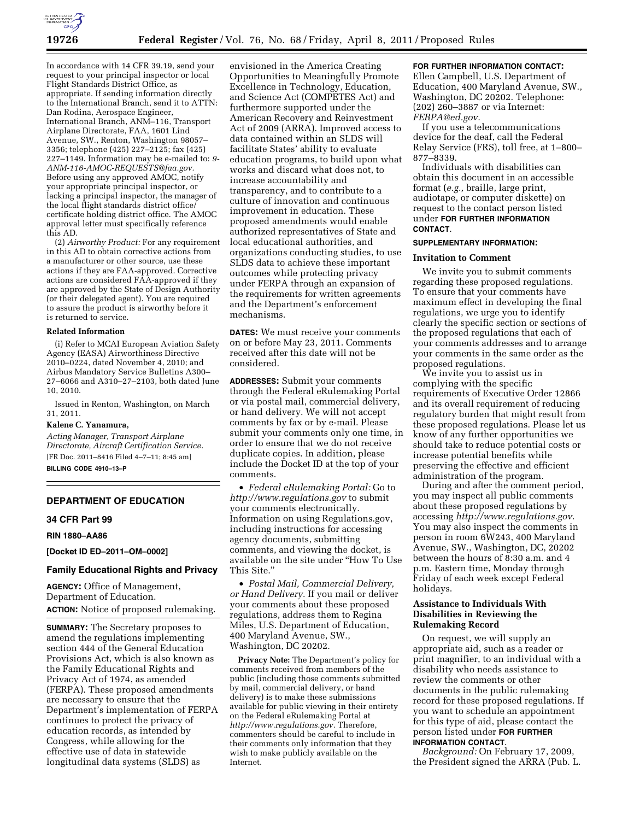

In accordance with 14 CFR 39.19, send your request to your principal inspector or local Flight Standards District Office, as appropriate. If sending information directly to the International Branch, send it to ATTN: Dan Rodina, Aerospace Engineer, International Branch, ANM–116, Transport Airplane Directorate, FAA, 1601 Lind Avenue, SW., Renton, Washington 98057– 3356; telephone (425) 227–2125; fax (425) 227–1149. Information may be e-mailed to: *[9-](mailto:9-ANM-116-AMOC-REQUESTS@faa.gov) [ANM-116-AMOC-REQUESTS@faa.gov.](mailto:9-ANM-116-AMOC-REQUESTS@faa.gov)*  Before using any approved AMOC, notify your appropriate principal inspector, or lacking a principal inspector, the manager of the local flight standards district office/ certificate holding district office. The AMOC approval letter must specifically reference this AD.

(2) *Airworthy Product:* For any requirement in this AD to obtain corrective actions from a manufacturer or other source, use these actions if they are FAA-approved. Corrective actions are considered FAA-approved if they are approved by the State of Design Authority (or their delegated agent). You are required to assure the product is airworthy before it is returned to service.

#### **Related Information**

(i) Refer to MCAI European Aviation Safety Agency (EASA) Airworthiness Directive 2010–0224, dated November 4, 2010; and Airbus Mandatory Service Bulletins A300– 27–6066 and A310–27–2103, both dated June 10, 2010.

Issued in Renton, Washington, on March 31, 2011.

#### **Kalene C. Yanamura,**

*Acting Manager, Transport Airplane Directorate, Aircraft Certification Service.*  [FR Doc. 2011–8416 Filed 4–7–11; 8:45 am]

**BILLING CODE 4910–13–P** 

# **DEPARTMENT OF EDUCATION**

#### **34 CFR Part 99**

**RIN 1880–AA86** 

**[Docket ID ED–2011–OM–0002]** 

# **Family Educational Rights and Privacy**

**AGENCY:** Office of Management, Department of Education. **ACTION:** Notice of proposed rulemaking.

**SUMMARY:** The Secretary proposes to amend the regulations implementing section 444 of the General Education Provisions Act, which is also known as the Family Educational Rights and Privacy Act of 1974, as amended (FERPA). These proposed amendments are necessary to ensure that the Department's implementation of FERPA continues to protect the privacy of education records, as intended by Congress, while allowing for the effective use of data in statewide longitudinal data systems (SLDS) as

envisioned in the America Creating Opportunities to Meaningfully Promote Excellence in Technology, Education, and Science Act (COMPETES Act) and furthermore supported under the American Recovery and Reinvestment Act of 2009 (ARRA). Improved access to data contained within an SLDS will facilitate States' ability to evaluate education programs, to build upon what works and discard what does not, to increase accountability and transparency, and to contribute to a culture of innovation and continuous improvement in education. These proposed amendments would enable authorized representatives of State and local educational authorities, and organizations conducting studies, to use SLDS data to achieve these important outcomes while protecting privacy under FERPA through an expansion of the requirements for written agreements and the Department's enforcement mechanisms.

**DATES:** We must receive your comments on or before May 23, 2011. Comments received after this date will not be considered.

**ADDRESSES:** Submit your comments through the Federal eRulemaking Portal or via postal mail, commercial delivery, or hand delivery. We will not accept comments by fax or by e-mail. Please submit your comments only one time, in order to ensure that we do not receive duplicate copies. In addition, please include the Docket ID at the top of your comments.

• *Federal eRulemaking Portal:* Go to *<http://www.regulations.gov>* to submit your comments electronically. Information on using Regulations.gov, including instructions for accessing agency documents, submitting comments, and viewing the docket, is available on the site under ''How To Use This Site.''

• *Postal Mail, Commercial Delivery, or Hand Delivery.* If you mail or deliver your comments about these proposed regulations, address them to Regina Miles, U.S. Department of Education, 400 Maryland Avenue, SW., Washington, DC 20202.

**Privacy Note:** The Department's policy for comments received from members of the public (including those comments submitted by mail, commercial delivery, or hand delivery) is to make these submissions available for public viewing in their entirety on the Federal eRulemaking Portal at *[http://www.regulations.gov.](http://www.regulations.gov)* Therefore, commenters should be careful to include in their comments only information that they wish to make publicly available on the Internet.

## **FOR FURTHER INFORMATION CONTACT:**

Ellen Campbell, U.S. Department of Education, 400 Maryland Avenue, SW., Washington, DC 20202. Telephone: (202) 260–3887 or via Internet: *[FERPA@ed.gov.](mailto:FERPA@ed.gov)* 

If you use a telecommunications device for the deaf, call the Federal Relay Service (FRS), toll free, at 1–800– 877–8339.

Individuals with disabilities can obtain this document in an accessible format (*e.g.,* braille, large print, audiotape, or computer diskette) on request to the contact person listed under **FOR FURTHER INFORMATION CONTACT**.

## **SUPPLEMENTARY INFORMATION:**

### **Invitation to Comment**

We invite you to submit comments regarding these proposed regulations. To ensure that your comments have maximum effect in developing the final regulations, we urge you to identify clearly the specific section or sections of the proposed regulations that each of your comments addresses and to arrange your comments in the same order as the proposed regulations.

We invite you to assist us in complying with the specific requirements of Executive Order 12866 and its overall requirement of reducing regulatory burden that might result from these proposed regulations. Please let us know of any further opportunities we should take to reduce potential costs or increase potential benefits while preserving the effective and efficient administration of the program.

During and after the comment period, you may inspect all public comments about these proposed regulations by accessing *[http://www.regulations.gov.](http://www.regulations.gov)*  You may also inspect the comments in person in room 6W243, 400 Maryland Avenue, SW., Washington, DC, 20202 between the hours of 8:30 a.m. and 4 p.m. Eastern time, Monday through Friday of each week except Federal holidays.

## **Assistance to Individuals With Disabilities in Reviewing the Rulemaking Record**

On request, we will supply an appropriate aid, such as a reader or print magnifier, to an individual with a disability who needs assistance to review the comments or other documents in the public rulemaking record for these proposed regulations. If you want to schedule an appointment for this type of aid, please contact the person listed under **FOR FURTHER INFORMATION CONTACT**.

*Background:* On February 17, 2009, the President signed the ARRA (Pub. L.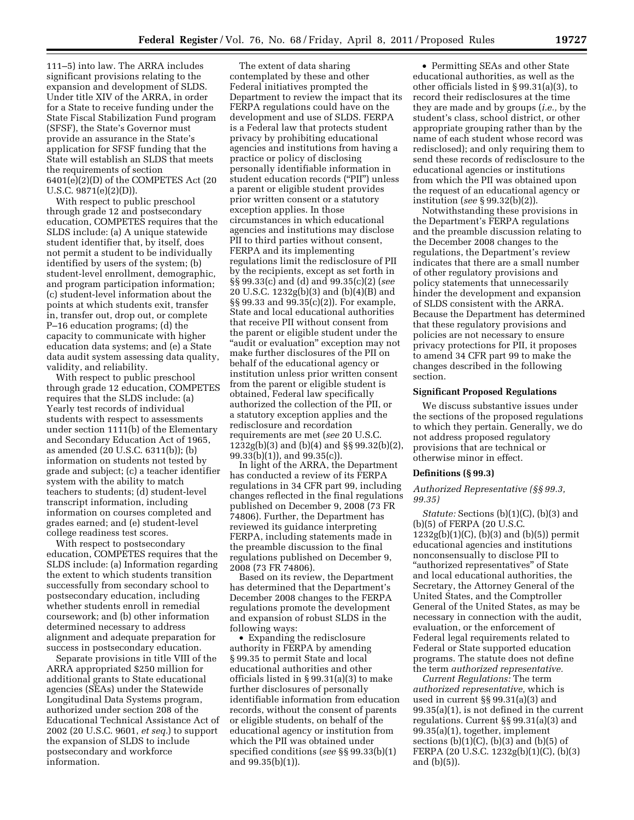111–5) into law. The ARRA includes significant provisions relating to the expansion and development of SLDS. Under title XIV of the ARRA, in order for a State to receive funding under the State Fiscal Stabilization Fund program (SFSF), the State's Governor must provide an assurance in the State's application for SFSF funding that the State will establish an SLDS that meets the requirements of section 6401(e)(2)(D) of the COMPETES Act (20 U.S.C. 9871(e)(2)(D)).

With respect to public preschool through grade 12 and postsecondary education, COMPETES requires that the SLDS include: (a) A unique statewide student identifier that, by itself, does not permit a student to be individually identified by users of the system; (b) student-level enrollment, demographic, and program participation information; (c) student-level information about the points at which students exit, transfer in, transfer out, drop out, or complete P–16 education programs; (d) the capacity to communicate with higher education data systems; and (e) a State data audit system assessing data quality, validity, and reliability.

With respect to public preschool through grade 12 education, COMPETES requires that the SLDS include: (a) Yearly test records of individual students with respect to assessments under section 1111(b) of the Elementary and Secondary Education Act of 1965, as amended (20 U.S.C. 6311(b)); (b) information on students not tested by grade and subject; (c) a teacher identifier system with the ability to match teachers to students; (d) student-level transcript information, including information on courses completed and grades earned; and (e) student-level college readiness test scores.

With respect to postsecondary education, COMPETES requires that the SLDS include: (a) Information regarding the extent to which students transition successfully from secondary school to postsecondary education, including whether students enroll in remedial coursework; and (b) other information determined necessary to address alignment and adequate preparation for success in postsecondary education.

Separate provisions in title VIII of the ARRA appropriated \$250 million for additional grants to State educational agencies (SEAs) under the Statewide Longitudinal Data Systems program, authorized under section 208 of the Educational Technical Assistance Act of 2002 (20 U.S.C. 9601, *et seq.*) to support the expansion of SLDS to include postsecondary and workforce information.

The extent of data sharing contemplated by these and other Federal initiatives prompted the Department to review the impact that its FERPA regulations could have on the development and use of SLDS. FERPA is a Federal law that protects student privacy by prohibiting educational agencies and institutions from having a practice or policy of disclosing personally identifiable information in student education records (''PII'') unless a parent or eligible student provides prior written consent or a statutory exception applies. In those circumstances in which educational agencies and institutions may disclose PII to third parties without consent, FERPA and its implementing regulations limit the redisclosure of PII by the recipients, except as set forth in §§ 99.33(c) and (d) and 99.35(c)(2) (*see*  20 U.S.C. 1232g(b)(3) and (b)(4)(B) and §§ 99.33 and 99.35(c)(2)). For example, State and local educational authorities that receive PII without consent from the parent or eligible student under the ''audit or evaluation'' exception may not make further disclosures of the PII on behalf of the educational agency or institution unless prior written consent from the parent or eligible student is obtained, Federal law specifically authorized the collection of the PII, or a statutory exception applies and the redisclosure and recordation requirements are met (*see* 20 U.S.C. 1232g(b)(3) and (b)(4) and §§ 99.32(b)(2), 99.33(b)(1)), and 99.35(c)).

In light of the ARRA, the Department has conducted a review of its FERPA regulations in 34 CFR part 99, including changes reflected in the final regulations published on December 9, 2008 (73 FR 74806). Further, the Department has reviewed its guidance interpreting FERPA, including statements made in the preamble discussion to the final regulations published on December 9, 2008 (73 FR 74806).

Based on its review, the Department has determined that the Department's December 2008 changes to the FERPA regulations promote the development and expansion of robust SLDS in the following ways:

• Expanding the redisclosure authority in FERPA by amending § 99.35 to permit State and local educational authorities and other officials listed in § 99.31(a)(3) to make further disclosures of personally identifiable information from education records, without the consent of parents or eligible students, on behalf of the educational agency or institution from which the PII was obtained under specified conditions (*see* §§ 99.33(b)(1) and 99.35(b)(1)).

• Permitting SEAs and other State educational authorities, as well as the other officials listed in § 99.31(a)(3), to record their redisclosures at the time they are made and by groups (*i.e.,* by the student's class, school district, or other appropriate grouping rather than by the name of each student whose record was redisclosed); and only requiring them to send these records of redisclosure to the educational agencies or institutions from which the PII was obtained upon the request of an educational agency or institution (*see* § 99.32(b)(2)).

Notwithstanding these provisions in the Department's FERPA regulations and the preamble discussion relating to the December 2008 changes to the regulations, the Department's review indicates that there are a small number of other regulatory provisions and policy statements that unnecessarily hinder the development and expansion of SLDS consistent with the ARRA. Because the Department has determined that these regulatory provisions and policies are not necessary to ensure privacy protections for PII, it proposes to amend 34 CFR part 99 to make the changes described in the following section.

### **Significant Proposed Regulations**

We discuss substantive issues under the sections of the proposed regulations to which they pertain. Generally, we do not address proposed regulatory provisions that are technical or otherwise minor in effect.

# **Definitions (§ 99.3)**

### *Authorized Representative (§§ 99.3, 99.35)*

*Statute:* Sections (b)(1)(C), (b)(3) and (b)(5) of FERPA (20 U.S.C.  $1232g(b)(1)(C)$ ,  $(b)(3)$  and  $(b)(5)$ ) permit educational agencies and institutions nonconsensually to disclose PII to "authorized representatives" of State and local educational authorities, the Secretary, the Attorney General of the United States, and the Comptroller General of the United States, as may be necessary in connection with the audit, evaluation, or the enforcement of Federal legal requirements related to Federal or State supported education programs. The statute does not define the term *authorized representative.* 

*Current Regulations:* The term *authorized representative,* which is used in current §§ 99.31(a)(3) and 99.35(a)(1), is not defined in the current regulations. Current §§ 99.31(a)(3) and 99.35(a)(1), together, implement sections  $(b)(1)(C)$ ,  $(b)(3)$  and  $(b)(5)$  of FERPA (20 U.S.C. 1232g(b)(1)(C), (b)(3) and (b)(5)).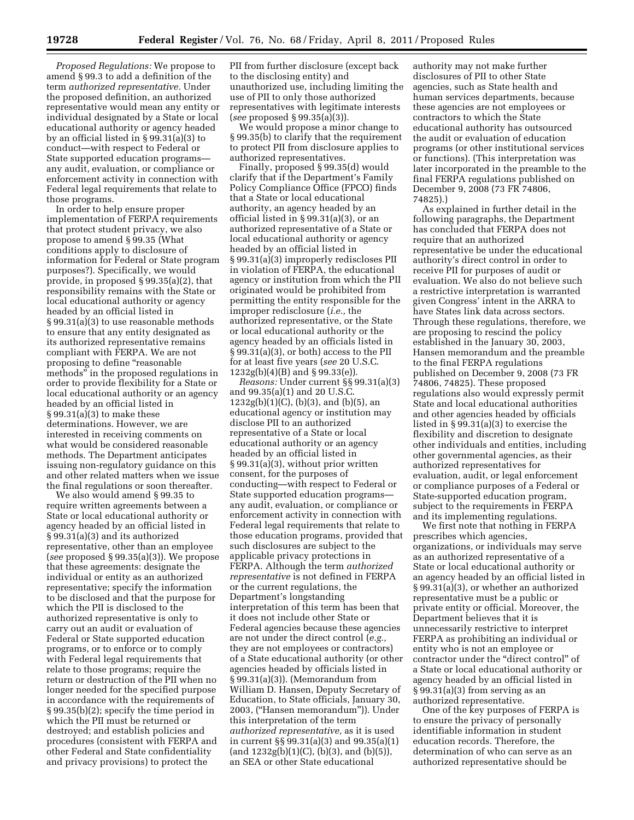*Proposed Regulations:* We propose to amend § 99.3 to add a definition of the term *authorized representative.* Under the proposed definition, an authorized representative would mean any entity or individual designated by a State or local educational authority or agency headed by an official listed in § 99.31(a)(3) to conduct—with respect to Federal or State supported education programs any audit, evaluation, or compliance or enforcement activity in connection with Federal legal requirements that relate to those programs.

In order to help ensure proper implementation of FERPA requirements that protect student privacy, we also propose to amend § 99.35 (What conditions apply to disclosure of information for Federal or State program purposes?). Specifically, we would provide, in proposed § 99.35(a)(2), that responsibility remains with the State or local educational authority or agency headed by an official listed in § 99.31(a)(3) to use reasonable methods to ensure that any entity designated as its authorized representative remains compliant with FERPA. We are not proposing to define "reasonable methods'' in the proposed regulations in order to provide flexibility for a State or local educational authority or an agency headed by an official listed in § 99.31(a)(3) to make these determinations. However, we are interested in receiving comments on what would be considered reasonable methods. The Department anticipates issuing non-regulatory guidance on this and other related matters when we issue the final regulations or soon thereafter.

We also would amend § 99.35 to require written agreements between a State or local educational authority or agency headed by an official listed in § 99.31(a)(3) and its authorized representative, other than an employee (*see* proposed § 99.35(a)(3)). We propose that these agreements: designate the individual or entity as an authorized representative; specify the information to be disclosed and that the purpose for which the PII is disclosed to the authorized representative is only to carry out an audit or evaluation of Federal or State supported education programs, or to enforce or to comply with Federal legal requirements that relate to those programs; require the return or destruction of the PII when no longer needed for the specified purpose in accordance with the requirements of § 99.35(b)(2); specify the time period in which the PII must be returned or destroyed; and establish policies and procedures (consistent with FERPA and other Federal and State confidentiality and privacy provisions) to protect the

PII from further disclosure (except back to the disclosing entity) and unauthorized use, including limiting the use of PII to only those authorized representatives with legitimate interests (*see* proposed § 99.35(a)(3)).

We would propose a minor change to § 99.35(b) to clarify that the requirement to protect PII from disclosure applies to authorized representatives.

Finally, proposed § 99.35(d) would clarify that if the Department's Family Policy Compliance Office (FPCO) finds that a State or local educational authority, an agency headed by an official listed in § 99.31(a)(3), or an authorized representative of a State or local educational authority or agency headed by an official listed in § 99.31(a)(3) improperly rediscloses PII in violation of FERPA, the educational agency or institution from which the PII originated would be prohibited from permitting the entity responsible for the improper redisclosure (*i.e.,* the authorized representative, or the State or local educational authority or the agency headed by an officials listed in § 99.31(a)(3), or both) access to the PII for at least five years (*see* 20 U.S.C. 1232g(b)(4)(B) and § 99.33(e)).

*Reasons:* Under current §§ 99.31(a)(3) and 99.35(a)(1) and 20 U.S.C.  $1232g(b)(1)(C)$ , (b)(3), and (b)(5), an educational agency or institution may disclose PII to an authorized representative of a State or local educational authority or an agency headed by an official listed in § 99.31(a)(3), without prior written consent, for the purposes of conducting—with respect to Federal or State supported education programs any audit, evaluation, or compliance or enforcement activity in connection with Federal legal requirements that relate to those education programs, provided that such disclosures are subject to the applicable privacy protections in FERPA. Although the term *authorized representative* is not defined in FERPA or the current regulations, the Department's longstanding interpretation of this term has been that it does not include other State or Federal agencies because these agencies are not under the direct control (*e.g.,*  they are not employees or contractors) of a State educational authority (or other agencies headed by officials listed in § 99.31(a)(3)). (Memorandum from William D. Hansen, Deputy Secretary of Education, to State officials, January 30, 2003, (''Hansen memorandum'')). Under this interpretation of the term *authorized representative,* as it is used in current §§ 99.31(a)(3) and 99.35(a)(1)  $\text{(and } 1232\text{g}(b)(1)(C), (b)(3), \text{and } (b)(5)\text{)},$ an SEA or other State educational

authority may not make further disclosures of PII to other State agencies, such as State health and human services departments, because these agencies are not employees or contractors to which the State educational authority has outsourced the audit or evaluation of education programs (or other institutional services or functions). (This interpretation was later incorporated in the preamble to the final FERPA regulations published on December 9, 2008 (73 FR 74806, 74825).)

As explained in further detail in the following paragraphs, the Department has concluded that FERPA does not require that an authorized representative be under the educational authority's direct control in order to receive PII for purposes of audit or evaluation. We also do not believe such a restrictive interpretation is warranted given Congress' intent in the ARRA to have States link data across sectors. Through these regulations, therefore, we are proposing to rescind the policy established in the January 30, 2003, Hansen memorandum and the preamble to the final FERPA regulations published on December 9, 2008 (73 FR 74806, 74825). These proposed regulations also would expressly permit State and local educational authorities and other agencies headed by officials listed in § 99.31(a)(3) to exercise the flexibility and discretion to designate other individuals and entities, including other governmental agencies, as their authorized representatives for evaluation, audit, or legal enforcement or compliance purposes of a Federal or State-supported education program, subject to the requirements in FERPA and its implementing regulations.

We first note that nothing in FERPA prescribes which agencies, organizations, or individuals may serve as an authorized representative of a State or local educational authority or an agency headed by an official listed in § 99.31(a)(3), or whether an authorized representative must be a public or private entity or official. Moreover, the Department believes that it is unnecessarily restrictive to interpret FERPA as prohibiting an individual or entity who is not an employee or contractor under the "direct control" of a State or local educational authority or agency headed by an official listed in § 99.31(a)(3) from serving as an authorized representative.

One of the key purposes of FERPA is to ensure the privacy of personally identifiable information in student education records. Therefore, the determination of who can serve as an authorized representative should be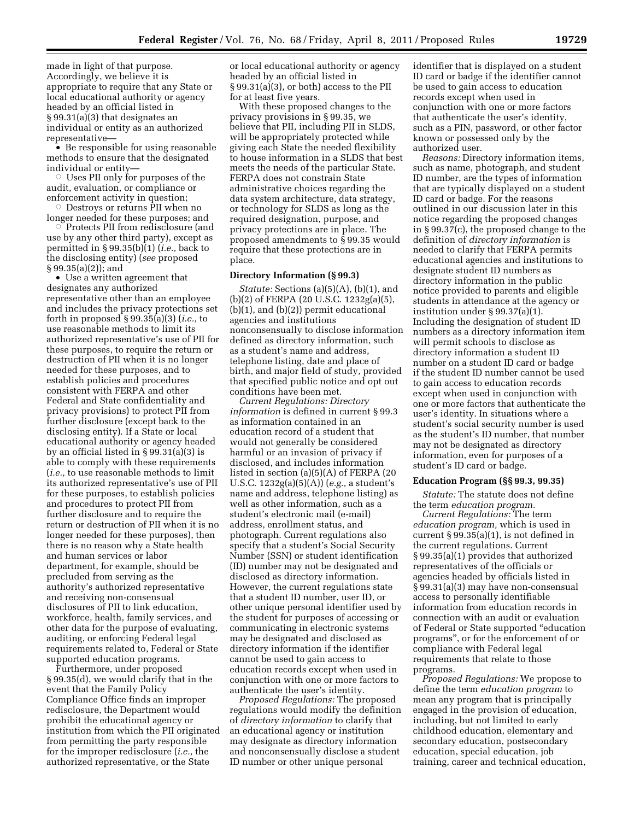made in light of that purpose. Accordingly, we believe it is appropriate to require that any State or local educational authority or agency headed by an official listed in § 99.31(a)(3) that designates an individual or entity as an authorized representative—

• Be responsible for using reasonable methods to ensure that the designated individual or entity—

 $\circ$  Uses PII only for purposes of the audit, evaluation, or compliance or enforcement activity in question;

Æ Destroys or returns PII when no longer needed for these purposes; and

 $\circ$  Protects PII from redisclosure (and use by any other third party), except as permitted in § 99.35(b)(1) (*i.e.,* back to the disclosing entity) (*see* proposed § 99.35(a)(2)); and

• Use a written agreement that designates any authorized representative other than an employee and includes the privacy protections set forth in proposed § 99.35(a)(3) (*i.e.,* to use reasonable methods to limit its authorized representative's use of PII for these purposes, to require the return or destruction of PII when it is no longer needed for these purposes, and to establish policies and procedures consistent with FERPA and other Federal and State confidentiality and privacy provisions) to protect PII from further disclosure (except back to the disclosing entity). If a State or local educational authority or agency headed by an official listed in § 99.31(a)(3) is able to comply with these requirements (*i.e.,* to use reasonable methods to limit its authorized representative's use of PII for these purposes, to establish policies and procedures to protect PII from further disclosure and to require the return or destruction of PII when it is no longer needed for these purposes), then there is no reason why a State health and human services or labor department, for example, should be precluded from serving as the authority's authorized representative and receiving non-consensual disclosures of PII to link education, workforce, health, family services, and other data for the purpose of evaluating, auditing, or enforcing Federal legal requirements related to, Federal or State supported education programs.

Furthermore, under proposed § 99.35(d), we would clarify that in the event that the Family Policy Compliance Office finds an improper redisclosure, the Department would prohibit the educational agency or institution from which the PII originated from permitting the party responsible for the improper redisclosure (*i.e.,* the authorized representative, or the State

or local educational authority or agency headed by an official listed in § 99.31(a)(3), or both) access to the PII for at least five years.

With these proposed changes to the privacy provisions in § 99.35, we believe that PII, including PII in SLDS, will be appropriately protected while giving each State the needed flexibility to house information in a SLDS that best meets the needs of the particular State. FERPA does not constrain State administrative choices regarding the data system architecture, data strategy, or technology for SLDS as long as the required designation, purpose, and privacy protections are in place. The proposed amendments to § 99.35 would require that these protections are in place.

### **Directory Information (§ 99.3)**

*Statute:* Sections (a)(5)(A), (b)(1), and (b)(2) of FERPA (20 U.S.C. 1232g(a)(5), (b)(1), and (b)(2)) permit educational agencies and institutions nonconsensually to disclose information defined as directory information, such as a student's name and address, telephone listing, date and place of birth, and major field of study, provided that specified public notice and opt out conditions have been met.

*Current Regulations: Directory information* is defined in current § 99.3 as information contained in an education record of a student that would not generally be considered harmful or an invasion of privacy if disclosed, and includes information listed in section (a)(5)(A) of FERPA (20 U.S.C. 1232g(a)(5)(A)) (*e.g.,* a student's name and address, telephone listing) as well as other information, such as a student's electronic mail (e-mail) address, enrollment status, and photograph. Current regulations also specify that a student's Social Security Number (SSN) or student identification (ID) number may not be designated and disclosed as directory information. However, the current regulations state that a student ID number, user ID, or other unique personal identifier used by the student for purposes of accessing or communicating in electronic systems may be designated and disclosed as directory information if the identifier cannot be used to gain access to education records except when used in conjunction with one or more factors to authenticate the user's identity.

*Proposed Regulations:* The proposed regulations would modify the definition of *directory information* to clarify that an educational agency or institution may designate as directory information and nonconsensually disclose a student ID number or other unique personal

identifier that is displayed on a student ID card or badge if the identifier cannot be used to gain access to education records except when used in conjunction with one or more factors that authenticate the user's identity, such as a PIN, password, or other factor known or possessed only by the authorized user.

*Reasons:* Directory information items, such as name, photograph, and student ID number, are the types of information that are typically displayed on a student ID card or badge. For the reasons outlined in our discussion later in this notice regarding the proposed changes in § 99.37(c), the proposed change to the definition of *directory information* is needed to clarify that FERPA permits educational agencies and institutions to designate student ID numbers as directory information in the public notice provided to parents and eligible students in attendance at the agency or institution under § 99.37(a)(1). Including the designation of student ID numbers as a directory information item will permit schools to disclose as directory information a student ID number on a student ID card or badge if the student ID number cannot be used to gain access to education records except when used in conjunction with one or more factors that authenticate the user's identity. In situations where a student's social security number is used as the student's ID number, that number may not be designated as directory information, even for purposes of a student's ID card or badge.

#### **Education Program (§§ 99.3, 99.35)**

*Statute:* The statute does not define the term *education program.* 

*Current Regulations:* The term *education program,* which is used in current § 99.35(a)(1), is not defined in the current regulations. Current § 99.35(a)(1) provides that authorized representatives of the officials or agencies headed by officials listed in § 99.31(a)(3) may have non-consensual access to personally identifiable information from education records in connection with an audit or evaluation of Federal or State supported ''education programs'', or for the enforcement of or compliance with Federal legal requirements that relate to those programs.

*Proposed Regulations:* We propose to define the term *education program* to mean any program that is principally engaged in the provision of education, including, but not limited to early childhood education, elementary and secondary education, postsecondary education, special education, job training, career and technical education,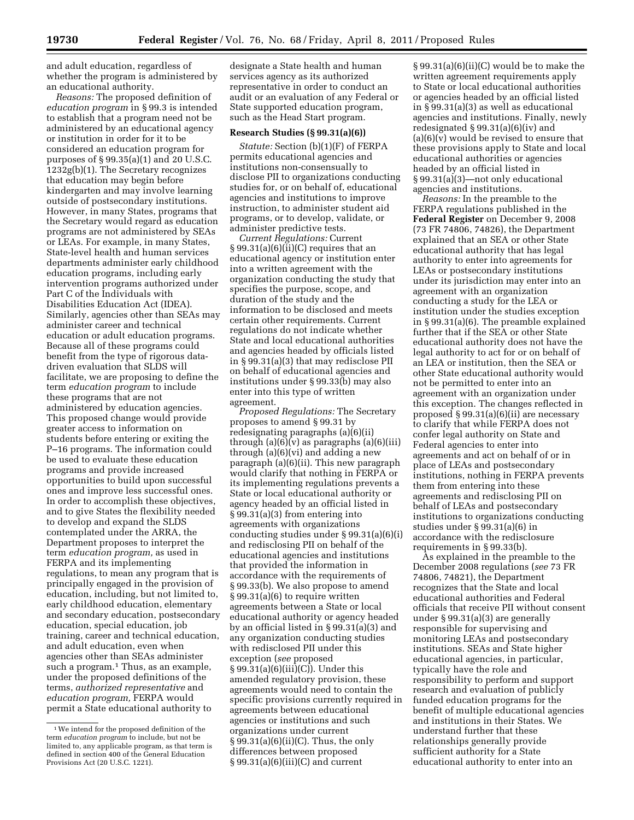and adult education, regardless of whether the program is administered by an educational authority.

*Reasons:* The proposed definition of *education program* in § 99.3 is intended to establish that a program need not be administered by an educational agency or institution in order for it to be considered an education program for purposes of § 99.35(a)(1) and 20 U.S.C. 1232g(b)(1). The Secretary recognizes that education may begin before kindergarten and may involve learning outside of postsecondary institutions. However, in many States, programs that the Secretary would regard as education programs are not administered by SEAs or LEAs. For example, in many States, State-level health and human services departments administer early childhood education programs, including early intervention programs authorized under Part C of the Individuals with Disabilities Education Act (IDEA). Similarly, agencies other than SEAs may administer career and technical education or adult education programs. Because all of these programs could benefit from the type of rigorous datadriven evaluation that SLDS will facilitate, we are proposing to define the term *education program* to include these programs that are not administered by education agencies. This proposed change would provide greater access to information on students before entering or exiting the P–16 programs. The information could be used to evaluate these education programs and provide increased opportunities to build upon successful ones and improve less successful ones. In order to accomplish these objectives, and to give States the flexibility needed to develop and expand the SLDS contemplated under the ARRA, the Department proposes to interpret the term *education program,* as used in FERPA and its implementing regulations, to mean any program that is principally engaged in the provision of education, including, but not limited to, early childhood education, elementary and secondary education, postsecondary education, special education, job training, career and technical education, and adult education, even when agencies other than SEAs administer such a program.<sup>1</sup> Thus, as an example, under the proposed definitions of the terms, *authorized representative* and *education program,* FERPA would permit a State educational authority to

designate a State health and human services agency as its authorized representative in order to conduct an audit or an evaluation of any Federal or State supported education program, such as the Head Start program.

#### **Research Studies (§ 99.31(a)(6))**

*Statute:* Section (b)(1)(F) of FERPA permits educational agencies and institutions non-consensually to disclose PII to organizations conducting studies for, or on behalf of, educational agencies and institutions to improve instruction, to administer student aid programs, or to develop, validate, or administer predictive tests.

*Current Regulations:* Current  $\S 99.31(a)(6)(ii)(C)$  requires that an educational agency or institution enter into a written agreement with the organization conducting the study that specifies the purpose, scope, and duration of the study and the information to be disclosed and meets certain other requirements. Current regulations do not indicate whether State and local educational authorities and agencies headed by officials listed in § 99.31(a)(3) that may redisclose PII on behalf of educational agencies and institutions under § 99.33(b) may also enter into this type of written agreement.

*Proposed Regulations:* The Secretary proposes to amend § 99.31 by redesignating paragraphs (a)(6)(ii) through  $(a)(6)(v)$  as paragraphs  $(a)(6)(iii)$ through (a)(6)(vi) and adding a new paragraph (a)(6)(ii). This new paragraph would clarify that nothing in FERPA or its implementing regulations prevents a State or local educational authority or agency headed by an official listed in § 99.31(a)(3) from entering into agreements with organizations conducting studies under § 99.31(a)(6)(i) and redisclosing PII on behalf of the educational agencies and institutions that provided the information in accordance with the requirements of § 99.33(b). We also propose to amend § 99.31(a)(6) to require written agreements between a State or local educational authority or agency headed by an official listed in § 99.31(a)(3) and any organization conducting studies with redisclosed PII under this exception (*see* proposed § 99.31(a)(6)(iii)(C)). Under this amended regulatory provision, these agreements would need to contain the specific provisions currently required in agreements between educational agencies or institutions and such organizations under current § 99.31(a)(6)(ii)(C). Thus, the only differences between proposed § 99.31(a)(6)(iii)(C) and current

§ 99.31(a)(6)(ii)(C) would be to make the written agreement requirements apply to State or local educational authorities or agencies headed by an official listed in § 99.31(a)(3) as well as educational agencies and institutions. Finally, newly redesignated § 99.31(a)(6)(iv) and (a)(6)(v) would be revised to ensure that these provisions apply to State and local educational authorities or agencies headed by an official listed in § 99.31(a)(3)—not only educational agencies and institutions.

*Reasons:* In the preamble to the FERPA regulations published in the **Federal Register** on December 9, 2008 (73 FR 74806, 74826), the Department explained that an SEA or other State educational authority that has legal authority to enter into agreements for LEAs or postsecondary institutions under its jurisdiction may enter into an agreement with an organization conducting a study for the LEA or institution under the studies exception in § 99.31(a)(6). The preamble explained further that if the SEA or other State educational authority does not have the legal authority to act for or on behalf of an LEA or institution, then the SEA or other State educational authority would not be permitted to enter into an agreement with an organization under this exception. The changes reflected in proposed § 99.31(a)(6)(ii) are necessary to clarify that while FERPA does not confer legal authority on State and Federal agencies to enter into agreements and act on behalf of or in place of LEAs and postsecondary institutions, nothing in FERPA prevents them from entering into these agreements and redisclosing PII on behalf of LEAs and postsecondary institutions to organizations conducting studies under § 99.31(a)(6) in accordance with the redisclosure requirements in § 99.33(b).

As explained in the preamble to the December 2008 regulations (*see* 73 FR 74806, 74821), the Department recognizes that the State and local educational authorities and Federal officials that receive PII without consent under § 99.31(a)(3) are generally responsible for supervising and monitoring LEAs and postsecondary institutions. SEAs and State higher educational agencies, in particular, typically have the role and responsibility to perform and support research and evaluation of publicly funded education programs for the benefit of multiple educational agencies and institutions in their States. We understand further that these relationships generally provide sufficient authority for a State educational authority to enter into an

<sup>1</sup>We intend for the proposed definition of the term *education program* to include, but not be limited to, any applicable program, as that term is defined in section 400 of the General Education Provisions Act (20 U.S.C. 1221).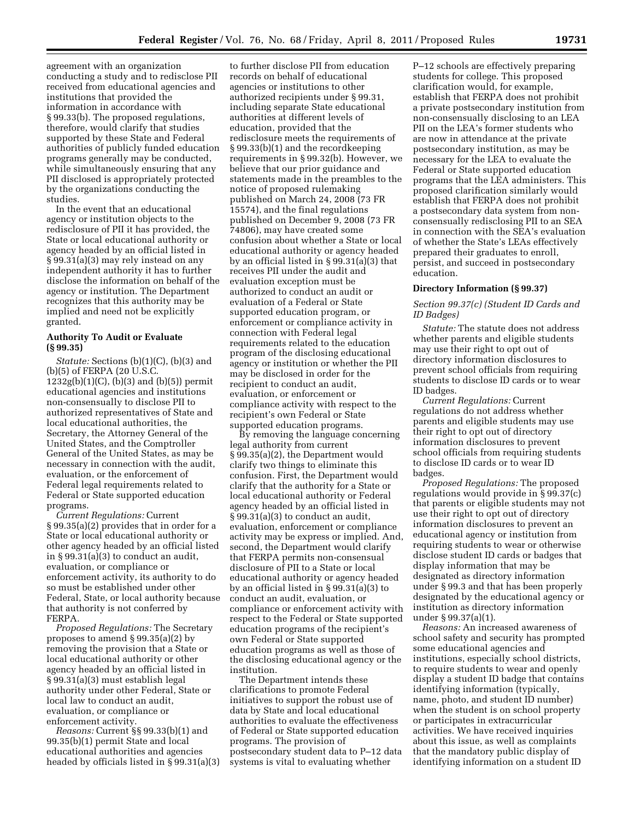agreement with an organization conducting a study and to redisclose PII received from educational agencies and institutions that provided the information in accordance with § 99.33(b). The proposed regulations, therefore, would clarify that studies supported by these State and Federal authorities of publicly funded education programs generally may be conducted, while simultaneously ensuring that any PII disclosed is appropriately protected by the organizations conducting the studies.

In the event that an educational agency or institution objects to the redisclosure of PII it has provided, the State or local educational authority or agency headed by an official listed in § 99.31(a)(3) may rely instead on any independent authority it has to further disclose the information on behalf of the agency or institution. The Department recognizes that this authority may be implied and need not be explicitly granted.

## **Authority To Audit or Evaluate (§ 99.35)**

*Statute:* Sections (b)(1)(C), (b)(3) and (b)(5) of FERPA (20 U.S.C.  $1232g(b)(1)(C)$ ,  $(b)(3)$  and  $(b)(5)$ ) permit educational agencies and institutions non-consensually to disclose PII to authorized representatives of State and local educational authorities, the Secretary, the Attorney General of the United States, and the Comptroller General of the United States, as may be necessary in connection with the audit, evaluation, or the enforcement of Federal legal requirements related to Federal or State supported education programs.

*Current Regulations:* Current § 99.35(a)(2) provides that in order for a State or local educational authority or other agency headed by an official listed in § 99.31(a)(3) to conduct an audit, evaluation, or compliance or enforcement activity, its authority to do so must be established under other Federal, State, or local authority because that authority is not conferred by FERPA.

*Proposed Regulations:* The Secretary proposes to amend § 99.35(a)(2) by removing the provision that a State or local educational authority or other agency headed by an official listed in § 99.31(a)(3) must establish legal authority under other Federal, State or local law to conduct an audit, evaluation, or compliance or enforcement activity.

*Reasons:* Current §§ 99.33(b)(1) and 99.35(b)(1) permit State and local educational authorities and agencies headed by officials listed in § 99.31(a)(3)

to further disclose PII from education records on behalf of educational agencies or institutions to other authorized recipients under § 99.31, including separate State educational authorities at different levels of education, provided that the redisclosure meets the requirements of § 99.33(b)(1) and the recordkeeping requirements in § 99.32(b). However, we believe that our prior guidance and statements made in the preambles to the notice of proposed rulemaking published on March 24, 2008 (73 FR 15574), and the final regulations published on December 9, 2008 (73 FR 74806), may have created some confusion about whether a State or local educational authority or agency headed by an official listed in § 99.31(a)(3) that receives PII under the audit and evaluation exception must be authorized to conduct an audit or evaluation of a Federal or State supported education program, or enforcement or compliance activity in connection with Federal legal requirements related to the education program of the disclosing educational agency or institution or whether the PII may be disclosed in order for the recipient to conduct an audit, evaluation, or enforcement or compliance activity with respect to the recipient's own Federal or State supported education programs.

By removing the language concerning legal authority from current § 99.35(a)(2), the Department would clarify two things to eliminate this confusion. First, the Department would clarify that the authority for a State or local educational authority or Federal agency headed by an official listed in § 99.31(a)(3) to conduct an audit, evaluation, enforcement or compliance activity may be express or implied. And, second, the Department would clarify that FERPA permits non-consensual disclosure of PII to a State or local educational authority or agency headed by an official listed in § 99.31(a)(3) to conduct an audit, evaluation, or compliance or enforcement activity with respect to the Federal or State supported education programs of the recipient's own Federal or State supported education programs as well as those of the disclosing educational agency or the institution.

The Department intends these clarifications to promote Federal initiatives to support the robust use of data by State and local educational authorities to evaluate the effectiveness of Federal or State supported education programs. The provision of postsecondary student data to P–12 data systems is vital to evaluating whether

P–12 schools are effectively preparing students for college. This proposed clarification would, for example, establish that FERPA does not prohibit a private postsecondary institution from non-consensually disclosing to an LEA PII on the LEA's former students who are now in attendance at the private postsecondary institution, as may be necessary for the LEA to evaluate the Federal or State supported education programs that the LEA administers. This proposed clarification similarly would establish that FERPA does not prohibit a postsecondary data system from nonconsensually redisclosing PII to an SEA in connection with the SEA's evaluation of whether the State's LEAs effectively prepared their graduates to enroll, persist, and succeed in postsecondary education.

### **Directory Information (§ 99.37)**

### *Section 99.37(c) (Student ID Cards and ID Badges)*

*Statute:* The statute does not address whether parents and eligible students may use their right to opt out of directory information disclosures to prevent school officials from requiring students to disclose ID cards or to wear ID badges.

*Current Regulations:* Current regulations do not address whether parents and eligible students may use their right to opt out of directory information disclosures to prevent school officials from requiring students to disclose ID cards or to wear ID badges.

*Proposed Regulations:* The proposed regulations would provide in § 99.37(c) that parents or eligible students may not use their right to opt out of directory information disclosures to prevent an educational agency or institution from requiring students to wear or otherwise disclose student ID cards or badges that display information that may be designated as directory information under § 99.3 and that has been properly designated by the educational agency or institution as directory information under § 99.37(a)(1).

*Reasons:* An increased awareness of school safety and security has prompted some educational agencies and institutions, especially school districts, to require students to wear and openly display a student ID badge that contains identifying information (typically, name, photo, and student ID number) when the student is on school property or participates in extracurricular activities. We have received inquiries about this issue, as well as complaints that the mandatory public display of identifying information on a student ID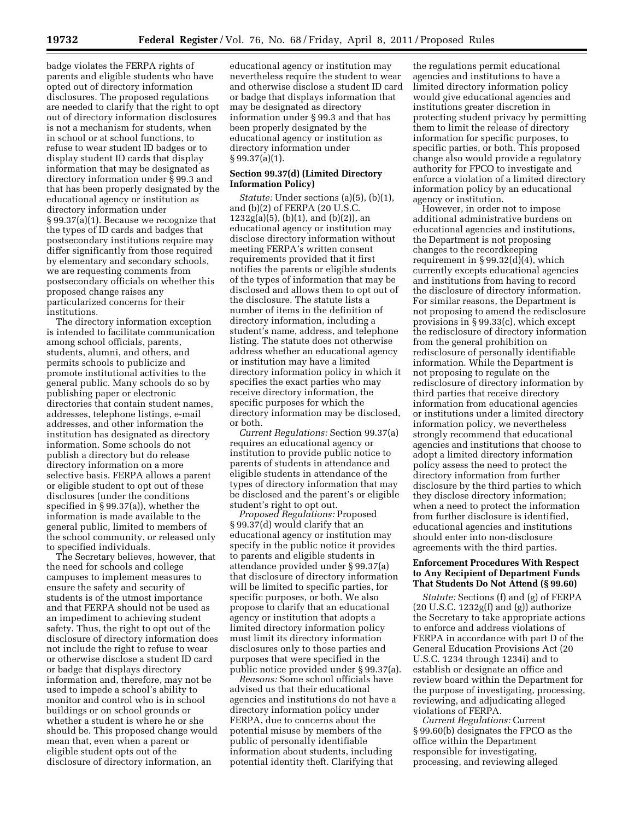badge violates the FERPA rights of parents and eligible students who have opted out of directory information disclosures. The proposed regulations are needed to clarify that the right to opt out of directory information disclosures is not a mechanism for students, when in school or at school functions, to refuse to wear student ID badges or to display student ID cards that display information that may be designated as directory information under § 99.3 and that has been properly designated by the educational agency or institution as directory information under § 99.37(a)(1). Because we recognize that the types of ID cards and badges that postsecondary institutions require may differ significantly from those required by elementary and secondary schools, we are requesting comments from postsecondary officials on whether this proposed change raises any particularized concerns for their institutions.

The directory information exception is intended to facilitate communication among school officials, parents, students, alumni, and others, and permits schools to publicize and promote institutional activities to the general public. Many schools do so by publishing paper or electronic directories that contain student names, addresses, telephone listings, e-mail addresses, and other information the institution has designated as directory information. Some schools do not publish a directory but do release directory information on a more selective basis. FERPA allows a parent or eligible student to opt out of these disclosures (under the conditions specified in § 99.37(a)), whether the information is made available to the general public, limited to members of the school community, or released only to specified individuals.

The Secretary believes, however, that the need for schools and college campuses to implement measures to ensure the safety and security of students is of the utmost importance and that FERPA should not be used as an impediment to achieving student safety. Thus, the right to opt out of the disclosure of directory information does not include the right to refuse to wear or otherwise disclose a student ID card or badge that displays directory information and, therefore, may not be used to impede a school's ability to monitor and control who is in school buildings or on school grounds or whether a student is where he or she should be. This proposed change would mean that, even when a parent or eligible student opts out of the disclosure of directory information, an

educational agency or institution may nevertheless require the student to wear and otherwise disclose a student ID card or badge that displays information that may be designated as directory information under § 99.3 and that has been properly designated by the educational agency or institution as directory information under § 99.37(a)(1).

### **Section 99.37(d) (Limited Directory Information Policy)**

*Statute:* Under sections (a)(5), (b)(1), and (b)(2) of FERPA (20 U.S.C.  $1232g(a)(5)$ , (b)(1), and (b)(2)), an educational agency or institution may disclose directory information without meeting FERPA's written consent requirements provided that it first notifies the parents or eligible students of the types of information that may be disclosed and allows them to opt out of the disclosure. The statute lists a number of items in the definition of directory information, including a student's name, address, and telephone listing. The statute does not otherwise address whether an educational agency or institution may have a limited directory information policy in which it specifies the exact parties who may receive directory information, the specific purposes for which the directory information may be disclosed, or both.

*Current Regulations:* Section 99.37(a) requires an educational agency or institution to provide public notice to parents of students in attendance and eligible students in attendance of the types of directory information that may be disclosed and the parent's or eligible student's right to opt out.

*Proposed Regulations:* Proposed § 99.37(d) would clarify that an educational agency or institution may specify in the public notice it provides to parents and eligible students in attendance provided under § 99.37(a) that disclosure of directory information will be limited to specific parties, for specific purposes, or both. We also propose to clarify that an educational agency or institution that adopts a limited directory information policy must limit its directory information disclosures only to those parties and purposes that were specified in the public notice provided under § 99.37(a).

*Reasons:* Some school officials have advised us that their educational agencies and institutions do not have a directory information policy under FERPA, due to concerns about the potential misuse by members of the public of personally identifiable information about students, including potential identity theft. Clarifying that

the regulations permit educational agencies and institutions to have a limited directory information policy would give educational agencies and institutions greater discretion in protecting student privacy by permitting them to limit the release of directory information for specific purposes, to specific parties, or both. This proposed change also would provide a regulatory authority for FPCO to investigate and enforce a violation of a limited directory information policy by an educational agency or institution.

However, in order not to impose additional administrative burdens on educational agencies and institutions, the Department is not proposing changes to the recordkeeping requirement in  $\S 99.32(d)(4)$ , which currently excepts educational agencies and institutions from having to record the disclosure of directory information. For similar reasons, the Department is not proposing to amend the redisclosure provisions in § 99.33(c), which except the redisclosure of directory information from the general prohibition on redisclosure of personally identifiable information. While the Department is not proposing to regulate on the redisclosure of directory information by third parties that receive directory information from educational agencies or institutions under a limited directory information policy, we nevertheless strongly recommend that educational agencies and institutions that choose to adopt a limited directory information policy assess the need to protect the directory information from further disclosure by the third parties to which they disclose directory information; when a need to protect the information from further disclosure is identified, educational agencies and institutions should enter into non-disclosure agreements with the third parties.

## **Enforcement Procedures With Respect to Any Recipient of Department Funds That Students Do Not Attend (§ 99.60)**

*Statute:* Sections (f) and (g) of FERPA (20 U.S.C. 1232g(f) and (g)) authorize the Secretary to take appropriate actions to enforce and address violations of FERPA in accordance with part D of the General Education Provisions Act (20 U.S.C. 1234 through 1234i) and to establish or designate an office and review board within the Department for the purpose of investigating, processing, reviewing, and adjudicating alleged violations of FERPA.

*Current Regulations:* Current § 99.60(b) designates the FPCO as the office within the Department responsible for investigating, processing, and reviewing alleged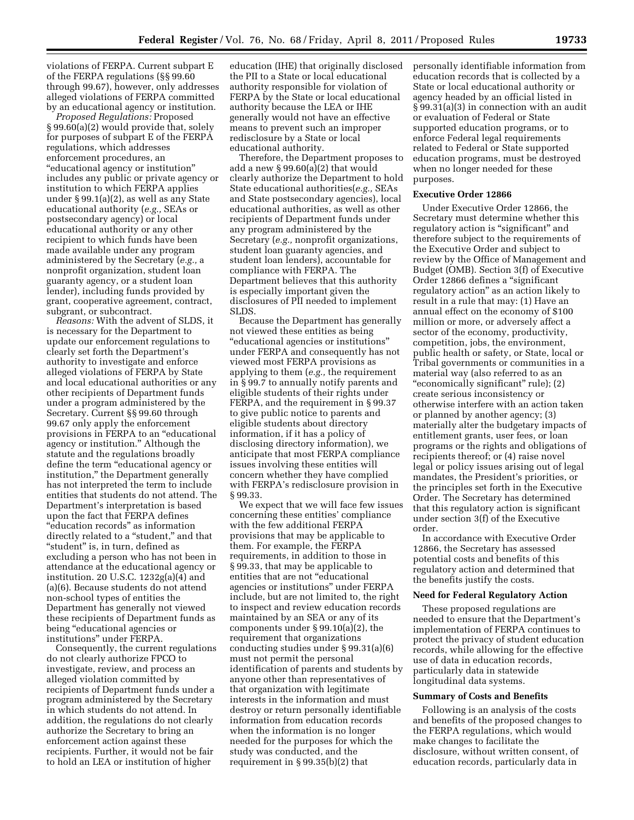violations of FERPA. Current subpart E of the FERPA regulations (§§ 99.60 through 99.67), however, only addresses alleged violations of FERPA committed by an educational agency or institution.

*Proposed Regulations:* Proposed § 99.60(a)(2) would provide that, solely for purposes of subpart E of the FERPA regulations, which addresses enforcement procedures, an ''educational agency or institution'' includes any public or private agency or institution to which FERPA applies under § 99.1(a)(2), as well as any State educational authority (*e.g.,* SEAs or postsecondary agency) or local educational authority or any other recipient to which funds have been made available under any program administered by the Secretary (*e.g.,* a nonprofit organization, student loan guaranty agency, or a student loan lender), including funds provided by grant, cooperative agreement, contract, subgrant, or subcontract.

*Reasons:* With the advent of SLDS, it is necessary for the Department to update our enforcement regulations to clearly set forth the Department's authority to investigate and enforce alleged violations of FERPA by State and local educational authorities or any other recipients of Department funds under a program administered by the Secretary. Current §§ 99.60 through 99.67 only apply the enforcement provisions in FERPA to an ''educational agency or institution.'' Although the statute and the regulations broadly define the term ''educational agency or institution,'' the Department generally has not interpreted the term to include entities that students do not attend. The Department's interpretation is based upon the fact that FERPA defines ''education records'' as information directly related to a ''student,'' and that "student" is, in turn, defined as excluding a person who has not been in attendance at the educational agency or institution. 20 U.S.C. 1232g(a)(4) and (a)(6). Because students do not attend non-school types of entities the Department has generally not viewed these recipients of Department funds as being ''educational agencies or institutions'' under FERPA.

Consequently, the current regulations do not clearly authorize FPCO to investigate, review, and process an alleged violation committed by recipients of Department funds under a program administered by the Secretary in which students do not attend. In addition, the regulations do not clearly authorize the Secretary to bring an enforcement action against these recipients. Further, it would not be fair to hold an LEA or institution of higher

education (IHE) that originally disclosed the PII to a State or local educational authority responsible for violation of FERPA by the State or local educational authority because the LEA or IHE generally would not have an effective means to prevent such an improper redisclosure by a State or local educational authority.

Therefore, the Department proposes to add a new § 99.60(a)(2) that would clearly authorize the Department to hold State educational authorities(*e.g.,* SEAs and State postsecondary agencies), local educational authorities, as well as other recipients of Department funds under any program administered by the Secretary (*e.g.,* nonprofit organizations, student loan guaranty agencies, and student loan lenders), accountable for compliance with FERPA. The Department believes that this authority is especially important given the disclosures of PII needed to implement SLDS.

Because the Department has generally not viewed these entities as being ''educational agencies or institutions'' under FERPA and consequently has not viewed most FERPA provisions as applying to them (*e.g.,* the requirement in § 99.7 to annually notify parents and eligible students of their rights under FERPA, and the requirement in § 99.37 to give public notice to parents and eligible students about directory information, if it has a policy of disclosing directory information), we anticipate that most FERPA compliance issues involving these entities will concern whether they have complied with FERPA's redisclosure provision in § 99.33.

We expect that we will face few issues concerning these entities' compliance with the few additional FERPA provisions that may be applicable to them. For example, the FERPA requirements, in addition to those in § 99.33, that may be applicable to entities that are not ''educational agencies or institutions'' under FERPA include, but are not limited to, the right to inspect and review education records maintained by an SEA or any of its components under § 99.10(a)(2), the requirement that organizations conducting studies under § 99.31(a)(6) must not permit the personal identification of parents and students by anyone other than representatives of that organization with legitimate interests in the information and must destroy or return personally identifiable information from education records when the information is no longer needed for the purposes for which the study was conducted, and the requirement in § 99.35(b)(2) that

personally identifiable information from education records that is collected by a State or local educational authority or agency headed by an official listed in § 99.31(a)(3) in connection with an audit or evaluation of Federal or State supported education programs, or to enforce Federal legal requirements related to Federal or State supported education programs, must be destroyed when no longer needed for these purposes.

### **Executive Order 12866**

Under Executive Order 12866, the Secretary must determine whether this regulatory action is "significant" and therefore subject to the requirements of the Executive Order and subject to review by the Office of Management and Budget (OMB). Section 3(f) of Executive Order 12866 defines a ''significant regulatory action'' as an action likely to result in a rule that may: (1) Have an annual effect on the economy of \$100 million or more, or adversely affect a sector of the economy, productivity, competition, jobs, the environment, public health or safety, or State, local or Tribal governments or communities in a material way (also referred to as an ''economically significant'' rule); (2) create serious inconsistency or otherwise interfere with an action taken or planned by another agency; (3) materially alter the budgetary impacts of entitlement grants, user fees, or loan programs or the rights and obligations of recipients thereof; or (4) raise novel legal or policy issues arising out of legal mandates, the President's priorities, or the principles set forth in the Executive Order. The Secretary has determined that this regulatory action is significant under section 3(f) of the Executive order.

In accordance with Executive Order 12866, the Secretary has assessed potential costs and benefits of this regulatory action and determined that the benefits justify the costs.

#### **Need for Federal Regulatory Action**

These proposed regulations are needed to ensure that the Department's implementation of FERPA continues to protect the privacy of student education records, while allowing for the effective use of data in education records, particularly data in statewide longitudinal data systems.

## **Summary of Costs and Benefits**

Following is an analysis of the costs and benefits of the proposed changes to the FERPA regulations, which would make changes to facilitate the disclosure, without written consent, of education records, particularly data in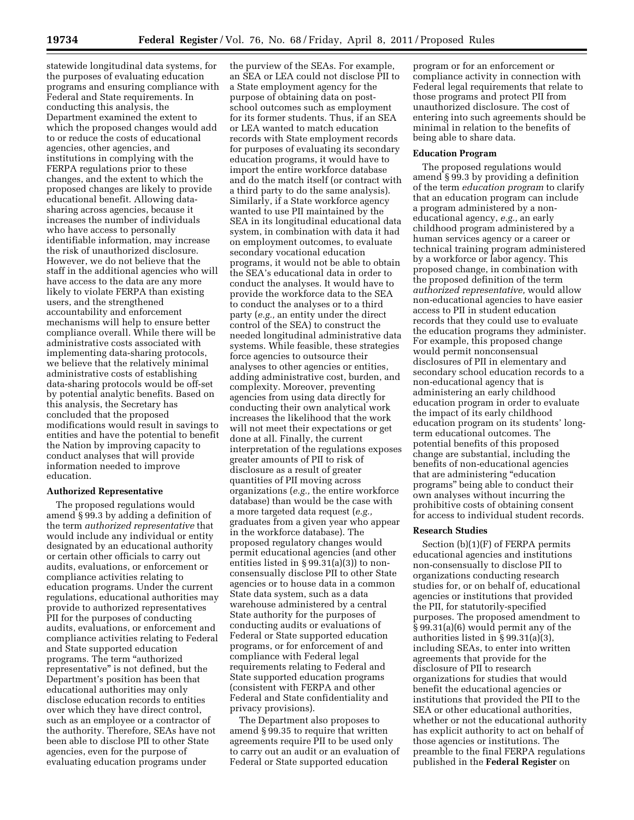statewide longitudinal data systems, for the purposes of evaluating education programs and ensuring compliance with Federal and State requirements. In conducting this analysis, the Department examined the extent to which the proposed changes would add to or reduce the costs of educational agencies, other agencies, and institutions in complying with the FERPA regulations prior to these changes, and the extent to which the proposed changes are likely to provide educational benefit. Allowing datasharing across agencies, because it increases the number of individuals who have access to personally identifiable information, may increase the risk of unauthorized disclosure. However, we do not believe that the staff in the additional agencies who will have access to the data are any more likely to violate FERPA than existing users, and the strengthened accountability and enforcement mechanisms will help to ensure better compliance overall. While there will be administrative costs associated with implementing data-sharing protocols, we believe that the relatively minimal administrative costs of establishing data-sharing protocols would be off-set by potential analytic benefits. Based on this analysis, the Secretary has concluded that the proposed modifications would result in savings to entities and have the potential to benefit the Nation by improving capacity to conduct analyses that will provide information needed to improve education.

#### **Authorized Representative**

The proposed regulations would amend § 99.3 by adding a definition of the term *authorized representative* that would include any individual or entity designated by an educational authority or certain other officials to carry out audits, evaluations, or enforcement or compliance activities relating to education programs. Under the current regulations, educational authorities may provide to authorized representatives PII for the purposes of conducting audits, evaluations, or enforcement and compliance activities relating to Federal and State supported education programs. The term ''authorized representative'' is not defined, but the Department's position has been that educational authorities may only disclose education records to entities over which they have direct control, such as an employee or a contractor of the authority. Therefore, SEAs have not been able to disclose PII to other State agencies, even for the purpose of evaluating education programs under

the purview of the SEAs. For example, an SEA or LEA could not disclose PII to a State employment agency for the purpose of obtaining data on postschool outcomes such as employment for its former students. Thus, if an SEA or LEA wanted to match education records with State employment records for purposes of evaluating its secondary education programs, it would have to import the entire workforce database and do the match itself (or contract with a third party to do the same analysis). Similarly, if a State workforce agency wanted to use PII maintained by the SEA in its longitudinal educational data system, in combination with data it had on employment outcomes, to evaluate secondary vocational education programs, it would not be able to obtain the SEA's educational data in order to conduct the analyses. It would have to provide the workforce data to the SEA to conduct the analyses or to a third party (*e.g.,* an entity under the direct control of the SEA) to construct the needed longitudinal administrative data systems. While feasible, these strategies force agencies to outsource their analyses to other agencies or entities, adding administrative cost, burden, and complexity. Moreover, preventing agencies from using data directly for conducting their own analytical work increases the likelihood that the work will not meet their expectations or get done at all. Finally, the current interpretation of the regulations exposes greater amounts of PII to risk of disclosure as a result of greater quantities of PII moving across organizations (*e.g.,* the entire workforce database) than would be the case with a more targeted data request (*e.g.,*  graduates from a given year who appear in the workforce database). The proposed regulatory changes would permit educational agencies (and other entities listed in § 99.31(a)(3)) to nonconsensually disclose PII to other State agencies or to house data in a common State data system, such as a data warehouse administered by a central State authority for the purposes of conducting audits or evaluations of Federal or State supported education programs, or for enforcement of and compliance with Federal legal requirements relating to Federal and State supported education programs (consistent with FERPA and other Federal and State confidentiality and privacy provisions).

The Department also proposes to amend § 99.35 to require that written agreements require PII to be used only to carry out an audit or an evaluation of Federal or State supported education

program or for an enforcement or compliance activity in connection with Federal legal requirements that relate to those programs and protect PII from unauthorized disclosure. The cost of entering into such agreements should be minimal in relation to the benefits of being able to share data.

### **Education Program**

The proposed regulations would amend § 99.3 by providing a definition of the term *education program* to clarify that an education program can include a program administered by a noneducational agency, *e.g.,* an early childhood program administered by a human services agency or a career or technical training program administered by a workforce or labor agency. This proposed change, in combination with the proposed definition of the term *authorized representative,* would allow non-educational agencies to have easier access to PII in student education records that they could use to evaluate the education programs they administer. For example, this proposed change would permit nonconsensual disclosures of PII in elementary and secondary school education records to a non-educational agency that is administering an early childhood education program in order to evaluate the impact of its early childhood education program on its students' longterm educational outcomes. The potential benefits of this proposed change are substantial, including the benefits of non-educational agencies that are administering ''education programs'' being able to conduct their own analyses without incurring the prohibitive costs of obtaining consent for access to individual student records.

### **Research Studies**

Section (b)(1)(F) of FERPA permits educational agencies and institutions non-consensually to disclose PII to organizations conducting research studies for, or on behalf of, educational agencies or institutions that provided the PII, for statutorily-specified purposes. The proposed amendment to § 99.31(a)(6) would permit any of the authorities listed in § 99.31(a)(3), including SEAs, to enter into written agreements that provide for the disclosure of PII to research organizations for studies that would benefit the educational agencies or institutions that provided the PII to the SEA or other educational authorities, whether or not the educational authority has explicit authority to act on behalf of those agencies or institutions. The preamble to the final FERPA regulations published in the **Federal Register** on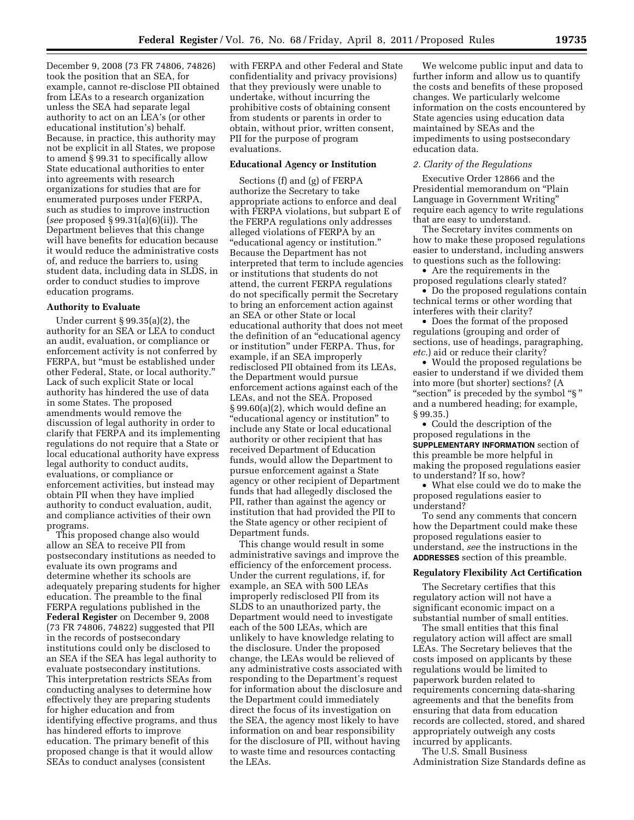December 9, 2008 (73 FR 74806, 74826) took the position that an SEA, for example, cannot re-disclose PII obtained from LEAs to a research organization unless the SEA had separate legal authority to act on an LEA's (or other educational institution's) behalf. Because, in practice, this authority may not be explicit in all States, we propose to amend § 99.31 to specifically allow State educational authorities to enter into agreements with research organizations for studies that are for enumerated purposes under FERPA, such as studies to improve instruction (*see* proposed § 99.31(a)(6)(ii)). The Department believes that this change will have benefits for education because it would reduce the administrative costs of, and reduce the barriers to, using student data, including data in SLDS, in order to conduct studies to improve education programs.

### **Authority to Evaluate**

Under current § 99.35(a)(2), the authority for an SEA or LEA to conduct an audit, evaluation, or compliance or enforcement activity is not conferred by FERPA, but "must be established under other Federal, State, or local authority.'' Lack of such explicit State or local authority has hindered the use of data in some States. The proposed amendments would remove the discussion of legal authority in order to clarify that FERPA and its implementing regulations do not require that a State or local educational authority have express legal authority to conduct audits, evaluations, or compliance or enforcement activities, but instead may obtain PII when they have implied authority to conduct evaluation, audit, and compliance activities of their own programs.

This proposed change also would allow an SEA to receive PII from postsecondary institutions as needed to evaluate its own programs and determine whether its schools are adequately preparing students for higher education. The preamble to the final FERPA regulations published in the **Federal Register** on December 9, 2008 (73 FR 74806, 74822) suggested that PII in the records of postsecondary institutions could only be disclosed to an SEA if the SEA has legal authority to evaluate postsecondary institutions. This interpretation restricts SEAs from conducting analyses to determine how effectively they are preparing students for higher education and from identifying effective programs, and thus has hindered efforts to improve education. The primary benefit of this proposed change is that it would allow SEAs to conduct analyses (consistent

with FERPA and other Federal and State confidentiality and privacy provisions) that they previously were unable to undertake, without incurring the prohibitive costs of obtaining consent from students or parents in order to obtain, without prior, written consent, PII for the purpose of program evaluations.

## **Educational Agency or Institution**

Sections (f) and (g) of FERPA authorize the Secretary to take appropriate actions to enforce and deal with FERPA violations, but subpart E of the FERPA regulations only addresses alleged violations of FERPA by an ''educational agency or institution.'' Because the Department has not interpreted that term to include agencies or institutions that students do not attend, the current FERPA regulations do not specifically permit the Secretary to bring an enforcement action against an SEA or other State or local educational authority that does not meet the definition of an ''educational agency or institution'' under FERPA. Thus, for example, if an SEA improperly redisclosed PII obtained from its LEAs, the Department would pursue enforcement actions against each of the LEAs, and not the SEA. Proposed § 99.60(a)(2), which would define an ''educational agency or institution'' to include any State or local educational authority or other recipient that has received Department of Education funds, would allow the Department to pursue enforcement against a State agency or other recipient of Department funds that had allegedly disclosed the PII, rather than against the agency or institution that had provided the PII to the State agency or other recipient of Department funds.

This change would result in some administrative savings and improve the efficiency of the enforcement process. Under the current regulations, if, for example, an SEA with 500 LEAs improperly redisclosed PII from its SLDS to an unauthorized party, the Department would need to investigate each of the 500 LEAs, which are unlikely to have knowledge relating to the disclosure. Under the proposed change, the LEAs would be relieved of any administrative costs associated with responding to the Department's request for information about the disclosure and the Department could immediately direct the focus of its investigation on the SEA, the agency most likely to have information on and bear responsibility for the disclosure of PII, without having to waste time and resources contacting the LEAs.

We welcome public input and data to further inform and allow us to quantify the costs and benefits of these proposed changes. We particularly welcome information on the costs encountered by State agencies using education data maintained by SEAs and the impediments to using postsecondary education data.

#### *2. Clarity of the Regulations*

Executive Order 12866 and the Presidential memorandum on ''Plain Language in Government Writing'' require each agency to write regulations that are easy to understand.

The Secretary invites comments on how to make these proposed regulations easier to understand, including answers to questions such as the following:

• Are the requirements in the proposed regulations clearly stated?

• Do the proposed regulations contain technical terms or other wording that interferes with their clarity?

• Does the format of the proposed regulations (grouping and order of sections, use of headings, paragraphing, *etc.*) aid or reduce their clarity?

• Would the proposed regulations be easier to understand if we divided them into more (but shorter) sections? (A "section" is preceded by the symbol "§" and a numbered heading; for example, § 99.35.)

• Could the description of the proposed regulations in the **SUPPLEMENTARY INFORMATION** section of this preamble be more helpful in making the proposed regulations easier to understand? If so, how?

• What else could we do to make the proposed regulations easier to understand?

To send any comments that concern how the Department could make these proposed regulations easier to understand, *see* the instructions in the **ADDRESSES** section of this preamble.

#### **Regulatory Flexibility Act Certification**

The Secretary certifies that this regulatory action will not have a significant economic impact on a substantial number of small entities.

The small entities that this final regulatory action will affect are small LEAs. The Secretary believes that the costs imposed on applicants by these regulations would be limited to paperwork burden related to requirements concerning data-sharing agreements and that the benefits from ensuring that data from education records are collected, stored, and shared appropriately outweigh any costs incurred by applicants.

The U.S. Small Business

Administration Size Standards define as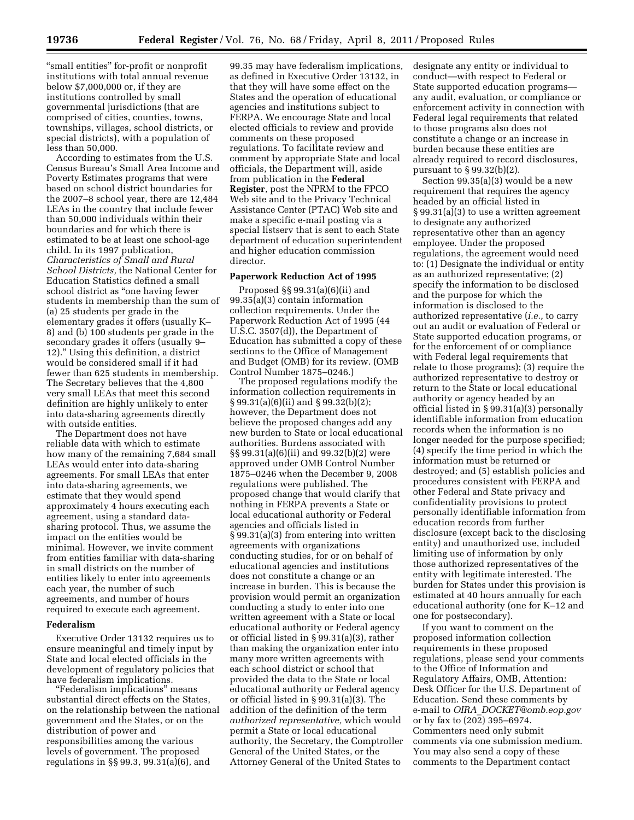''small entities'' for-profit or nonprofit institutions with total annual revenue below \$7,000,000 or, if they are institutions controlled by small governmental jurisdictions (that are comprised of cities, counties, towns, townships, villages, school districts, or special districts), with a population of less than 50,000.

According to estimates from the U.S. Census Bureau's Small Area Income and Poverty Estimates programs that were based on school district boundaries for the 2007–8 school year, there are 12,484 LEAs in the country that include fewer than 50,000 individuals within their boundaries and for which there is estimated to be at least one school-age child. In its 1997 publication, *Characteristics of Small and Rural School Districts,* the National Center for Education Statistics defined a small school district as ''one having fewer students in membership than the sum of (a) 25 students per grade in the elementary grades it offers (usually K– 8) and (b) 100 students per grade in the secondary grades it offers (usually 9– 12).'' Using this definition, a district would be considered small if it had fewer than 625 students in membership. The Secretary believes that the 4,800 very small LEAs that meet this second definition are highly unlikely to enter into data-sharing agreements directly with outside entities.

The Department does not have reliable data with which to estimate how many of the remaining 7,684 small LEAs would enter into data-sharing agreements. For small LEAs that enter into data-sharing agreements, we estimate that they would spend approximately 4 hours executing each agreement, using a standard datasharing protocol. Thus, we assume the impact on the entities would be minimal. However, we invite comment from entities familiar with data-sharing in small districts on the number of entities likely to enter into agreements each year, the number of such agreements, and number of hours required to execute each agreement.

### **Federalism**

Executive Order 13132 requires us to ensure meaningful and timely input by State and local elected officials in the development of regulatory policies that have federalism implications.

''Federalism implications'' means substantial direct effects on the States, on the relationship between the national government and the States, or on the distribution of power and responsibilities among the various levels of government. The proposed regulations in §§ 99.3, 99.31(a)(6), and

99.35 may have federalism implications, as defined in Executive Order 13132, in that they will have some effect on the States and the operation of educational agencies and institutions subject to FERPA. We encourage State and local elected officials to review and provide comments on these proposed regulations. To facilitate review and comment by appropriate State and local officials, the Department will, aside from publication in the **Federal Register**, post the NPRM to the FPCO Web site and to the Privacy Technical Assistance Center (PTAC) Web site and make a specific e-mail posting via a special listserv that is sent to each State department of education superintendent and higher education commission director.

# **Paperwork Reduction Act of 1995**

Proposed §§ 99.31(a)(6)(ii) and  $99.35(a)(3)$  contain information collection requirements. Under the Paperwork Reduction Act of 1995 (44 U.S.C. 3507(d)), the Department of Education has submitted a copy of these sections to the Office of Management and Budget (OMB) for its review. (OMB Control Number 1875–0246.)

The proposed regulations modify the information collection requirements in § 99.31(a)(6)(ii) and § 99.32(b)(2); however, the Department does not believe the proposed changes add any new burden to State or local educational authorities. Burdens associated with §§ 99.31(a)(6)(ii) and 99.32(b)(2) were approved under OMB Control Number 1875–0246 when the December 9, 2008 regulations were published. The proposed change that would clarify that nothing in FERPA prevents a State or local educational authority or Federal agencies and officials listed in § 99.31(a)(3) from entering into written agreements with organizations conducting studies, for or on behalf of educational agencies and institutions does not constitute a change or an increase in burden. This is because the provision would permit an organization conducting a study to enter into one written agreement with a State or local educational authority or Federal agency or official listed in § 99.31(a)(3), rather than making the organization enter into many more written agreements with each school district or school that provided the data to the State or local educational authority or Federal agency or official listed in § 99.31(a)(3). The addition of the definition of the term *authorized representative,* which would permit a State or local educational authority, the Secretary, the Comptroller General of the United States, or the Attorney General of the United States to

designate any entity or individual to conduct—with respect to Federal or State supported education programs any audit, evaluation, or compliance or enforcement activity in connection with Federal legal requirements that related to those programs also does not constitute a change or an increase in burden because these entities are already required to record disclosures, pursuant to § 99.32(b)(2).

Section 99.35(a)(3) would be a new requirement that requires the agency headed by an official listed in § 99.31(a)(3) to use a written agreement to designate any authorized representative other than an agency employee. Under the proposed regulations, the agreement would need to: (1) Designate the individual or entity as an authorized representative; (2) specify the information to be disclosed and the purpose for which the information is disclosed to the authorized representative (*i.e.,* to carry out an audit or evaluation of Federal or State supported education programs, or for the enforcement of or compliance with Federal legal requirements that relate to those programs); (3) require the authorized representative to destroy or return to the State or local educational authority or agency headed by an official listed in § 99.31(a)(3) personally identifiable information from education records when the information is no longer needed for the purpose specified; (4) specify the time period in which the information must be returned or destroyed; and (5) establish policies and procedures consistent with FERPA and other Federal and State privacy and confidentiality provisions to protect personally identifiable information from education records from further disclosure (except back to the disclosing entity) and unauthorized use, included limiting use of information by only those authorized representatives of the entity with legitimate interested. The burden for States under this provision is estimated at 40 hours annually for each educational authority (one for K–12 and one for postsecondary).

If you want to comment on the proposed information collection requirements in these proposed regulations, please send your comments to the Office of Information and Regulatory Affairs, OMB, Attention: Desk Officer for the U.S. Department of Education. Send these comments by e-mail to *OIRA*\_*[DOCKET@omb.eop.gov](mailto:OIRA_DOCKET@omb.eop.gov)*  or by fax to (202) 395–6974. Commenters need only submit comments via one submission medium. You may also send a copy of these comments to the Department contact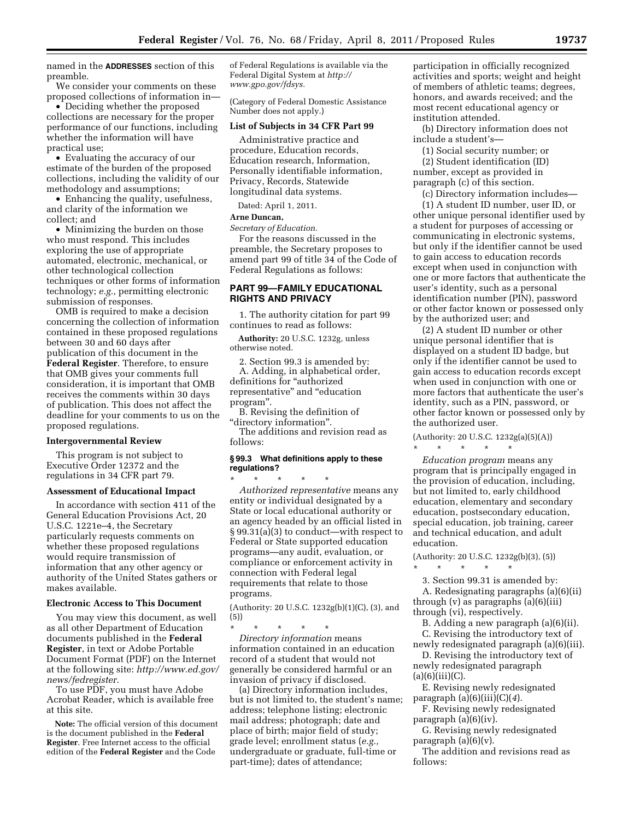named in the **ADDRESSES** section of this preamble.

We consider your comments on these proposed collections of information in—

• Deciding whether the proposed collections are necessary for the proper performance of our functions, including whether the information will have practical use;

• Evaluating the accuracy of our estimate of the burden of the proposed collections, including the validity of our methodology and assumptions;

• Enhancing the quality, usefulness, and clarity of the information we collect; and

• Minimizing the burden on those who must respond. This includes exploring the use of appropriate automated, electronic, mechanical, or other technological collection techniques or other forms of information technology; *e.g.,* permitting electronic submission of responses.

OMB is required to make a decision concerning the collection of information contained in these proposed regulations between 30 and 60 days after publication of this document in the **Federal Register**. Therefore, to ensure that OMB gives your comments full consideration, it is important that OMB receives the comments within 30 days of publication. This does not affect the deadline for your comments to us on the proposed regulations.

#### **Intergovernmental Review**

This program is not subject to Executive Order 12372 and the regulations in 34 CFR part 79.

#### **Assessment of Educational Impact**

In accordance with section 411 of the General Education Provisions Act, 20 U.S.C. 1221e–4, the Secretary particularly requests comments on whether these proposed regulations would require transmission of information that any other agency or authority of the United States gathers or makes available.

### **Electronic Access to This Document**

You may view this document, as well as all other Department of Education documents published in the **Federal Register**, in text or Adobe Portable Document Format (PDF) on the Internet at the following site: *[http://www.ed.gov/](http://www.ed.gov/news/fedregister) [news/fedregister.](http://www.ed.gov/news/fedregister)* 

To use PDF, you must have Adobe Acrobat Reader, which is available free at this site.

**Note:** The official version of this document is the document published in the **Federal Register**. Free Internet access to the official edition of the **Federal Register** and the Code

of Federal Regulations is available via the Federal Digital System at *[http://](http://www.gpo.gov/fdsys)  [www.gpo.gov/fdsys.](http://www.gpo.gov/fdsys)* 

(Category of Federal Domestic Assistance Number does not apply.)

### **List of Subjects in 34 CFR Part 99**

Administrative practice and procedure, Education records, Education research, Information, Personally identifiable information, Privacy, Records, Statewide longitudinal data systems.

Dated: April 1, 2011.

### **Arne Duncan,**

*Secretary of Education.* 

For the reasons discussed in the preamble, the Secretary proposes to amend part 99 of title 34 of the Code of Federal Regulations as follows:

# **PART 99—FAMILY EDUCATIONAL RIGHTS AND PRIVACY**

1. The authority citation for part 99 continues to read as follows:

**Authority:** 20 U.S.C. 1232g, unless otherwise noted.

2. Section 99.3 is amended by: A. Adding, in alphabetical order, definitions for "authorized representative'' and ''education program''.

B. Revising the definition of ''directory information''.

The additions and revision read as follows:

### **§ 99.3 What definitions apply to these regulations?**

\* \* \* \* \* *Authorized representative* means any entity or individual designated by a State or local educational authority or an agency headed by an official listed in § 99.31(a)(3) to conduct—with respect to Federal or State supported education programs—any audit, evaluation, or compliance or enforcement activity in connection with Federal legal requirements that relate to those programs.

(Authority: 20 U.S.C. 1232g(b)(1)(C), (3), and (5))

\* \* \* \* \* *Directory information* means information contained in an education record of a student that would not generally be considered harmful or an invasion of privacy if disclosed.

(a) Directory information includes, but is not limited to, the student's name; address; telephone listing; electronic mail address; photograph; date and place of birth; major field of study; grade level; enrollment status (*e.g.,*  undergraduate or graduate, full-time or part-time); dates of attendance;

participation in officially recognized activities and sports; weight and height of members of athletic teams; degrees, honors, and awards received; and the most recent educational agency or institution attended.

(b) Directory information does not include a student's—

(1) Social security number; or

(2) Student identification (ID) number, except as provided in paragraph (c) of this section.

(c) Directory information includes—

(1) A student ID number, user ID, or other unique personal identifier used by a student for purposes of accessing or communicating in electronic systems, but only if the identifier cannot be used to gain access to education records except when used in conjunction with one or more factors that authenticate the user's identity, such as a personal identification number (PIN), password or other factor known or possessed only by the authorized user; and

(2) A student ID number or other unique personal identifier that is displayed on a student ID badge, but only if the identifier cannot be used to gain access to education records except when used in conjunction with one or more factors that authenticate the user's identity, such as a PIN, password, or other factor known or possessed only by the authorized user.

(Authority: 20 U.S.C. 1232g(a)(5)(A)) \* \* \* \* \*

*Education program* means any program that is principally engaged in the provision of education, including, but not limited to, early childhood education, elementary and secondary education, postsecondary education, special education, job training, career and technical education, and adult education.

(Authority: 20 U.S.C. 1232g(b)(3), (5))

\* \* \* \* \*

3. Section 99.31 is amended by: A. Redesignating paragraphs (a)(6)(ii) through  $(v)$  as paragraphs  $(a)(6)(iii)$ 

through (vi), respectively.

B. Adding a new paragraph (a)(6)(ii).

C. Revising the introductory text of newly redesignated paragraph (a)(6)(iii).

D. Revising the introductory text of newly redesignated paragraph  $(a)(6)(iii)(C).$ 

E. Revising newly redesignated

paragraph (a)(6)(iii)(C)(*4*).

F. Revising newly redesignated paragraph (a)(6)(iv).

G. Revising newly redesignated paragraph (a)(6)(v).

The addition and revisions read as follows: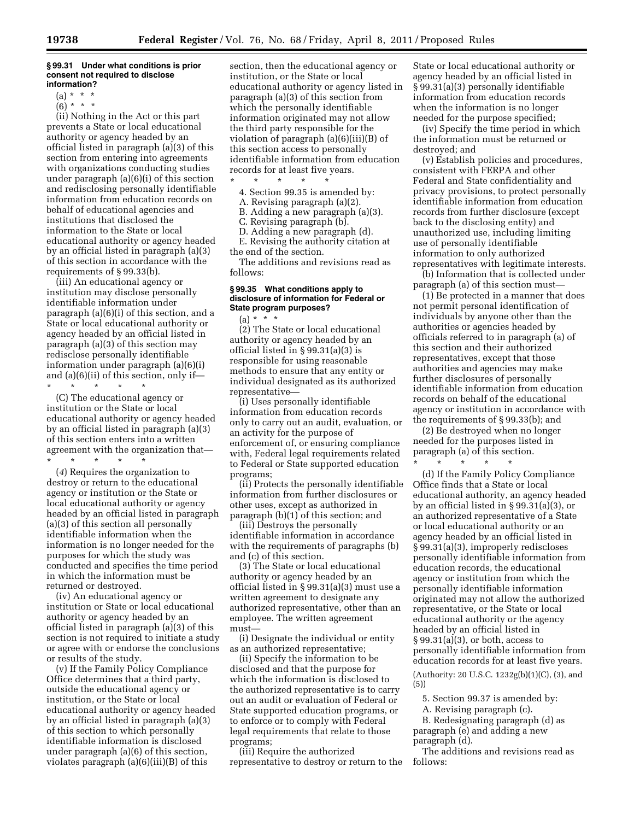#### **§ 99.31 Under what conditions is prior consent not required to disclose information?**

- $(a) * * * *$
- $(6) * * * *$

(ii) Nothing in the Act or this part prevents a State or local educational authority or agency headed by an official listed in paragraph (a)(3) of this section from entering into agreements with organizations conducting studies under paragraph (a)(6)(i) of this section and redisclosing personally identifiable information from education records on behalf of educational agencies and institutions that disclosed the information to the State or local educational authority or agency headed by an official listed in paragraph (a)(3) of this section in accordance with the requirements of § 99.33(b).

(iii) An educational agency or institution may disclose personally identifiable information under paragraph (a)(6)(i) of this section, and a State or local educational authority or agency headed by an official listed in paragraph (a)(3) of this section may redisclose personally identifiable information under paragraph (a)(6)(i) and (a)(6)(ii) of this section, only if—<br>\* \* \* \* \* \* \* \* \* \* \*

(C) The educational agency or institution or the State or local educational authority or agency headed by an official listed in paragraph (a)(3) of this section enters into a written agreement with the organization that— \* \* \* \* \*

(*4*) Requires the organization to destroy or return to the educational agency or institution or the State or local educational authority or agency headed by an official listed in paragraph (a)(3) of this section all personally identifiable information when the information is no longer needed for the purposes for which the study was conducted and specifies the time period in which the information must be returned or destroyed.

(iv) An educational agency or institution or State or local educational authority or agency headed by an official listed in paragraph (a)(3) of this section is not required to initiate a study or agree with or endorse the conclusions or results of the study.

(v) If the Family Policy Compliance Office determines that a third party, outside the educational agency or institution, or the State or local educational authority or agency headed by an official listed in paragraph (a)(3) of this section to which personally identifiable information is disclosed under paragraph (a)(6) of this section, violates paragraph (a)(6)(iii)(B) of this

section, then the educational agency or institution, or the State or local educational authority or agency listed in paragraph (a)(3) of this section from which the personally identifiable information originated may not allow the third party responsible for the violation of paragraph (a)(6)(iii)(B) of this section access to personally identifiable information from education records for at least five years.

\* \* \* \* \* 4. Section 99.35 is amended by:

- A. Revising paragraph (a)(2).
- B. Adding a new paragraph (a)(3).
- C. Revising paragraph (b).
- D. Adding a new paragraph (d).

E. Revising the authority citation at the end of the section.

The additions and revisions read as follows:

### **§ 99.35 What conditions apply to disclosure of information for Federal or State program purposes?**

 $(a) * * * *$ (2) The State or local educational authority or agency headed by an official listed in § 99.31(a)(3) is responsible for using reasonable methods to ensure that any entity or individual designated as its authorized representative—

(i) Uses personally identifiable information from education records only to carry out an audit, evaluation, or an activity for the purpose of enforcement of, or ensuring compliance with, Federal legal requirements related to Federal or State supported education programs;

(ii) Protects the personally identifiable information from further disclosures or other uses, except as authorized in paragraph (b)(1) of this section; and

(iii) Destroys the personally identifiable information in accordance with the requirements of paragraphs (b) and (c) of this section.

(3) The State or local educational authority or agency headed by an official listed in § 99.31(a)(3) must use a written agreement to designate any authorized representative, other than an employee. The written agreement must—

(i) Designate the individual or entity as an authorized representative;

(ii) Specify the information to be disclosed and that the purpose for which the information is disclosed to the authorized representative is to carry out an audit or evaluation of Federal or State supported education programs, or to enforce or to comply with Federal legal requirements that relate to those programs;

(iii) Require the authorized representative to destroy or return to the

State or local educational authority or agency headed by an official listed in § 99.31(a)(3) personally identifiable information from education records when the information is no longer needed for the purpose specified;

(iv) Specify the time period in which the information must be returned or destroyed; and

(v) Establish policies and procedures, consistent with FERPA and other Federal and State confidentiality and privacy provisions, to protect personally identifiable information from education records from further disclosure (except back to the disclosing entity) and unauthorized use, including limiting use of personally identifiable information to only authorized representatives with legitimate interests.

(b) Information that is collected under paragraph (a) of this section must—

(1) Be protected in a manner that does not permit personal identification of individuals by anyone other than the authorities or agencies headed by officials referred to in paragraph (a) of this section and their authorized representatives, except that those authorities and agencies may make further disclosures of personally identifiable information from education records on behalf of the educational agency or institution in accordance with the requirements of § 99.33(b); and

(2) Be destroyed when no longer needed for the purposes listed in paragraph (a) of this section.

\* \* \* \* \*

(d) If the Family Policy Compliance Office finds that a State or local educational authority, an agency headed by an official listed in § 99.31(a)(3), or an authorized representative of a State or local educational authority or an agency headed by an official listed in § 99.31(a)(3), improperly rediscloses personally identifiable information from education records, the educational agency or institution from which the personally identifiable information originated may not allow the authorized representative, or the State or local educational authority or the agency headed by an official listed in § 99.31(a)(3), or both, access to personally identifiable information from education records for at least five years.

(Authority: 20 U.S.C. 1232g(b)(1)(C), (3), and (5))

5. Section 99.37 is amended by:

A. Revising paragraph (c).

B. Redesignating paragraph (d) as paragraph (e) and adding a new paragraph (d).

The additions and revisions read as follows: